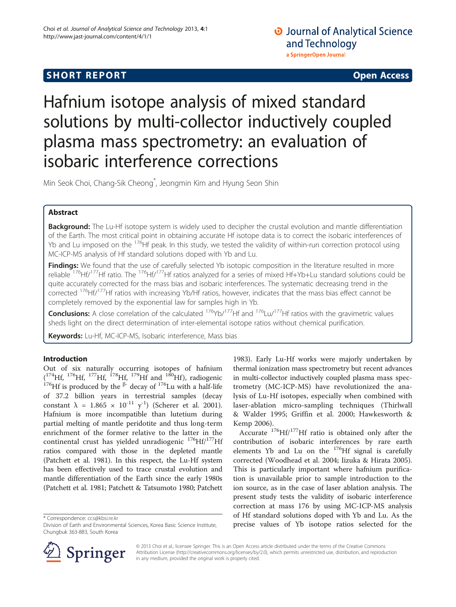# **SHORT REPORT SHORT CONSUMING THE CONSUMING THE CONSUMING THE CONSUMING THE CONSUMING THE CONSUMING THE CONSUMING THE CONSUMING THE CONSUMING THE CONSUMING THE CONSUMING THE CONSUMING THE CONSUMING THE CONSUMING THE CO**

## **O** Journal of Analytical Science and Technology a SpringerOpen Journal

# Hafnium isotope analysis of mixed standard solutions by multi-collector inductively coupled plasma mass spectrometry: an evaluation of isobaric interference corrections

Min Seok Choi, Chang-Sik Cheong\* , Jeongmin Kim and Hyung Seon Shin

## Abstract

**Background:** The Lu-Hf isotope system is widely used to decipher the crustal evolution and mantle differentiation of the Earth. The most critical point in obtaining accurate Hf isotope data is to correct the isobaric interferences of Yb and Lu imposed on the <sup>176</sup>Hf peak. In this study, we tested the validity of within-run correction protocol using MC-ICP-MS analysis of Hf standard solutions doped with Yb and Lu.

Findings: We found that the use of carefully selected Yb isotopic composition in the literature resulted in more reliable <sup>176</sup>Hf/<sup>177</sup>Hf ratio. The <sup>176</sup>Hf/<sup>177</sup>Hf ratios analyzed for a series of mixed Hf+Yb+Lu standard solutions could be quite accurately corrected for the mass bias and isobaric interferences. The systematic decreasing trend in the corrected <sup>176</sup>Hf/<sup>177</sup>Hf ratios with increasing Yb/Hf ratios, however, indicates that the mass bias effect cannot be completely removed by the exponential law for samples high in Yb.

**Conclusions:** A close correlation of the calculated  $176\gamma b/177$  Hf and  $176\gamma b/177$  Hf ratios with the gravimetric values sheds light on the direct determination of inter-elemental isotope ratios without chemical purification.

Keywords: Lu-Hf, MC-ICP-MS, Isobaric interference, Mass bias

## Introduction

Out of six naturally occurring isotopes of hafnium (<sup>174</sup>Hf, <sup>176</sup>Hf, <sup>177</sup>Hf, <sup>178</sup>Hf, <sup>179</sup>Hf and <sup>180</sup>Hf), radiogenic <sup>176</sup>Hf is produced by the <sup>β-</sup> decay of <sup>176</sup>Lu with a half-life of 37.2 billion years in terrestrial samples (decay constant  $\lambda = 1.865 \times 10^{-11}$  y<sup>-1</sup>) (Scherer et al. [2001](#page-6-0)). Hafnium is more incompatible than lutetium during partial melting of mantle peridotite and thus long-term enrichment of the former relative to the latter in the continental crust has yielded unradiogenic <sup>176</sup>Hf/<sup>177</sup>Hf ratios compared with those in the depleted mantle (Patchett et al. [1981](#page-6-0)). In this respect, the Lu-Hf system has been effectively used to trace crustal evolution and mantle differentiation of the Earth since the early 1980s (Patchett et al. [1981;](#page-6-0) Patchett & Tatsumoto [1980;](#page-6-0) Patchett

\* Correspondence: [ccs@kbsi.re.kr](mailto:ccs@kbsi.re.kr)

[1983](#page-6-0)). Early Lu-Hf works were majorly undertaken by thermal ionization mass spectrometry but recent advances in multi-collector inductively coupled plasma mass spectrometry (MC-ICP-MS) have revolutionized the analysis of Lu-Hf isotopes, especially when combined with laser-ablation micro-sampling techniques (Thirlwall & Walder [1995](#page-6-0); Griffin et al. [2000;](#page-6-0) Hawkesworth & Kemp [2006](#page-6-0)).

Accurate  $176$ Hf/ $177$ Hf ratio is obtained only after the contribution of isobaric interferences by rare earth elements Yb and Lu on the  $176$ Hf signal is carefully corrected (Woodhead et al. [2004;](#page-6-0) Iizuka & Hirata [2005](#page-6-0)). This is particularly important where hafnium purification is unavailable prior to sample introduction to the ion source, as in the case of laser ablation analysis. The present study tests the validity of isobaric interference correction at mass 176 by using MC-ICP-MS analysis of Hf standard solutions doped with Yb and Lu. As the precise values of Yb isotope ratios selected for the



© 2013 Choi et al.; licensee Springer. This is an Open Access article distributed under the terms of the Creative Commons Attribution License [\(http://creativecommons.org/licenses/by/2.0\)](http://creativecommons.org/licenses/by/2.0), which permits unrestricted use, distribution, and reproduction in any medium, provided the original work is properly cited.

Division of Earth and Environmental Sciences, Korea Basic Science Institute, Chungbuk 363-883, South Korea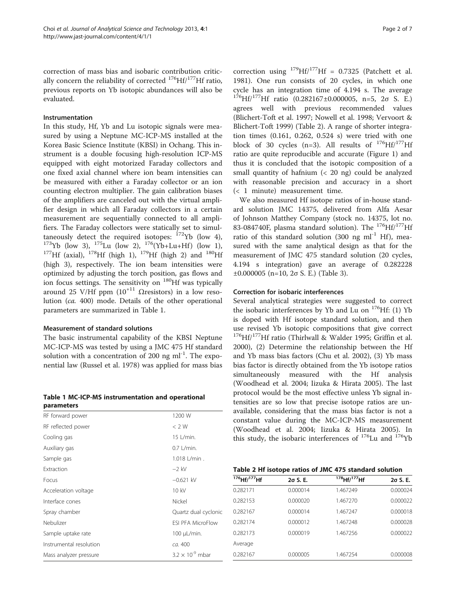correction of mass bias and isobaric contribution critically concern the reliability of corrected  $^{176}$ Hf/ $^{177}$ Hf ratio, previous reports on Yb isotopic abundances will also be evaluated.

#### Instrumentation

In this study, Hf, Yb and Lu isotopic signals were measured by using a Neptune MC-ICP-MS installed at the Korea Basic Science Institute (KBSI) in Ochang. This instrument is a double focusing high-resolution ICP-MS equipped with eight motorized Faraday collectors and one fixed axial channel where ion beam intensities can be measured with either a Faraday collector or an ion counting electron multiplier. The gain calibration biases of the amplifiers are canceled out with the virtual amplifier design in which all Faraday collectors in a certain measurement are sequentially connected to all amplifiers. The Faraday collectors were statically set to simul-<br>taneously detect the required isotopes:  $^{172}Yb$  (low 4), <sup>173</sup>Yb (low 3), <sup>175</sup>Lu (low 2), <sup>176</sup>(Yb+Lu+Hf) (low 1), <sup>177</sup>Hf (axial), <sup>178</sup>Hf (high 1), <sup>179</sup>Hf (high 2) and <sup>180</sup>Hf (high 3), respectively. The ion beam intensities were optimized by adjusting the torch position, gas flows and ion focus settings. The sensitivity on <sup>180</sup>Hf was typically around 25 V/Hf ppm  $(10^{+11} \Omega$ resistors) in a low resolution (ca. 400) mode. Details of the other operational parameters are summarized in Table 1.

### Measurement of standard solutions

The basic instrumental capability of the KBSI Neptune MC-ICP-MS was tested by using a JMC 475 Hf standard solution with a concentration of 200 ng  $ml^{-1}$ . The exponential law (Russel et al. [1978](#page-6-0)) was applied for mass bias

Table 1 MC-ICP-MS instrumentation and operational parameters

| RF forward power        | 1200 W                    |
|-------------------------|---------------------------|
| RF reflected power      | < 2 W                     |
| Cooling gas             | 15 L/min.                 |
| Auxiliary gas           | $0.7$ L/min.              |
| Sample gas              | 1.018 L/min.              |
| Extraction              | $-2$ kV                   |
| Focus                   | $-0.621$ kV               |
| Acceleration voltage    | 10 kV                     |
| Interface cones         | Nickel                    |
| Spray chamber           | Quartz dual cyclonic      |
| Nebulizer               | <b>FSI PFA MicroFlow</b>  |
| Sample uptake rate      | $100 \mu L/min$ .         |
| Instrumental resolution | ca. 400                   |
| Mass analyzer pressure  | $3.2 \times 10^{-9}$ mbar |
|                         |                           |

correction using  $^{179}Hf/^{177}Hf = 0.7325$  (Patchett et al. [1981](#page-6-0)). One run consists of 20 cycles, in which one cycle has an integration time of 4.194 s. The average  $1^{176}$ Hf/<sup>177</sup>Hf ratio (0.282167±0.000005, n=5, 2 $\sigma$  S. E.) agrees well with previous recommended values (Blichert-Toft et al. [1997](#page-6-0); Nowell et al. [1998](#page-6-0); Vervoort & Blichert-Toft [1999\)](#page-6-0) (Table 2). A range of shorter integration times (0.161, 0.262, 0.524 s) were tried with one block of 30 cycles (n=3). All results of  $^{176}Hf^{177}Hf$ ratio are quite reproducible and accurate (Figure [1\)](#page-2-0) and thus it is concluded that the isotopic composition of a small quantity of hafnium (< 20 ng) could be analyzed with reasonable precision and accuracy in a short (< 1 minute) measurement time.

We also measured Hf isotope ratios of in-house standard solution JMC 14375, delivered from Alfa Aesar of Johnson Matthey Company (stock no. 14375, lot no. 83-084740F, plasma standard solution). The  $^{176}$ Hf/ $^{177}$ Hf ratio of this standard solution (300 ng ml<sup>-1</sup> Hf), measured with the same analytical design as that for the measurement of JMC 475 standard solution (20 cycles, 4.194 s integration) gave an average of 0.282228  $±0.000005$  (n=10, 2σ S. E.) (Table [3](#page-2-0)).

## Correction for isobaric interferences

Several analytical strategies were suggested to correct the isobaric interferences by Yb and Lu on  $176$ Hf: (1) Yb is doped with Hf isotope standard solution, and then use revised Yb isotopic compositions that give correct  $^{176}$ Hf/<sup>177</sup>Hf ratio (Thirlwall & Walder [1995](#page-6-0); Griffin et al. [2000](#page-6-0)), (2) Determine the relationship between the Hf and Yb mass bias factors (Chu et al. [2002\)](#page-6-0), (3) Yb mass bias factor is directly obtained from the Yb isotope ratios simultaneously measured with the Hf analysis (Woodhead et al. [2004](#page-6-0); Iizuka & Hirata [2005](#page-6-0)). The last protocol would be the most effective unless Yb signal intensities are so low that precise isotope ratios are unavailable, considering that the mass bias factor is not a constant value during the MC-ICP-MS measurement (Woodhead et al. [2004;](#page-6-0) Iizuka & Hirata [2005\)](#page-6-0). In this study, the isobaric interferences of  $176$ Lu and  $176$ Yb

| $176$ Hf/ $177$ Hf | $2\sigma$ S. E. | $178$ Hf/ $177$ Hf | $2\sigma$ S. E. |
|--------------------|-----------------|--------------------|-----------------|
| 0.282171           | 0.000014        | 1.467249           | 0.000024        |
| 0.282153           | 0.000020        | 1.467270           | 0.000022        |
| 0.282167           | 0.000014        | 1.467247           | 0.000018        |
| 0.282174           | 0.000012        | 1.467248           | 0.000028        |
| 0.282173           | 0.000019        | 1.467256           | 0.000022        |
| Average            |                 |                    |                 |
| 0.282167           | 0.000005        | 1.467254           | 0.000008        |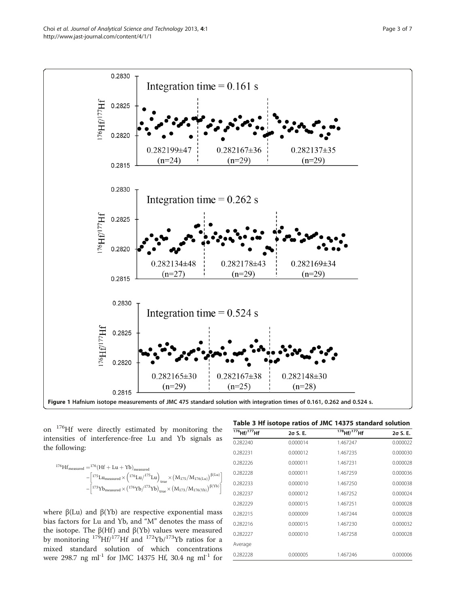<span id="page-2-0"></span>

on 176Hf were directly estimated by monitoring the intensities of interference-free Lu and Yb signals as the following:

$$
^{176} H f_{measured} = ^{176} (H f + Lu + Y b)_{measured} - \left[^{175}Lu_{measured} \times \left(^{176}Lu\right)^{175}Lu \right)_{true} \times \left(M_{175}/M_{176(t.u)}\right)^{\beta(t.u)} - \left[^{173}Y b_{measured} \times \left(^{176}Y b\right)^{173}Y b \right)_{true} \times \left(M_{173}/M_{176(Yb)}\right)^{\beta(Yb)}\right]
$$

where  $β(Lu)$  and  $β(Yb)$  are respective exponential mass bias factors for Lu and Yb, and "M" denotes the mass of the isotope. The  $β(Hf)$  and  $β(Yb)$  values were measured by monitoring  $179$ Hf/<sup>177</sup>Hf and  $172$ Yb/<sup>173</sup>Yb ratios for a mixed standard solution of which concentrations were 298.7 ng ml<sup>-1</sup> for JMC 14375 Hf, 30.4 ng ml<sup>-1</sup> for

| 176Hf/ <sup>177</sup> Hf | $2\sigma$ S. E. | 178 Hf/ <sup>177</sup> Hf | $2\sigma$ S. E. |
|--------------------------|-----------------|---------------------------|-----------------|
| 0.282240                 | 0.000014        | 1.467247                  | 0.000022        |
| 0.282231                 | 0.000012        | 1.467235                  | 0.000030        |
| 0.282226                 | 0.000011        | 1.467231                  | 0.000028        |
| 0.282228                 | 0.000011        | 1.467259                  | 0.000036        |
| 0.282233                 | 0.000010        | 1.467250                  | 0.000038        |
| 0.282237                 | 0.000012        | 1.467252                  | 0.000024        |
| 0.282229                 | 0.000015        | 1.467251                  | 0.000028        |
| 0.282215                 | 0.000009        | 1.467244                  | 0.000028        |
| 0.282216                 | 0.000015        | 1.467230                  | 0.000032        |
| 0.282227                 | 0.000010        | 1.467258                  | 0.000028        |
| Average                  |                 |                           |                 |
| 0.282228                 | 0.000005        | 1.467246                  | 0.000006        |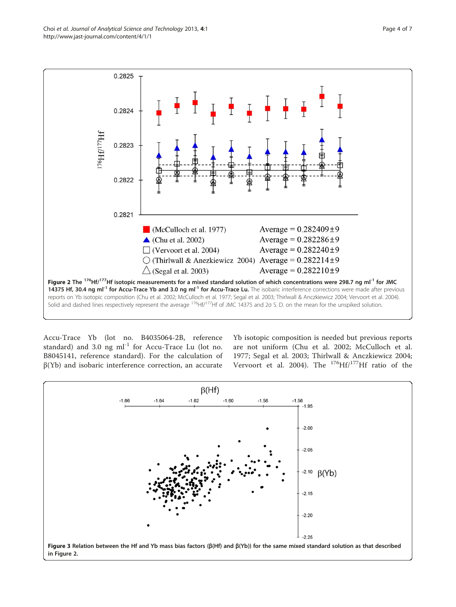<span id="page-3-0"></span>Choi et al. Journal of Analytical Science and Technology 2013, 4:1 et al. Page 4 of 7 http://www.jast-journal.com/content/4/1/1



Accu-Trace Yb (lot no. B4035064-2B, reference standard) and 3.0 ng  $ml^{-1}$  for Accu-Trace Lu (lot no. B8045141, reference standard). For the calculation of β(Yb) and isobaric interference correction, an accurate

Yb isotopic composition is needed but previous reports are not uniform (Chu et al. [2002](#page-6-0); McCulloch et al. [1977;](#page-6-0) Segal et al. [2003](#page-6-0); Thirlwall & Anczkiewicz [2004](#page-6-0); Vervoort et al. [2004\)](#page-6-0). The  $^{176}$ Hf/<sup>177</sup>Hf ratio of the

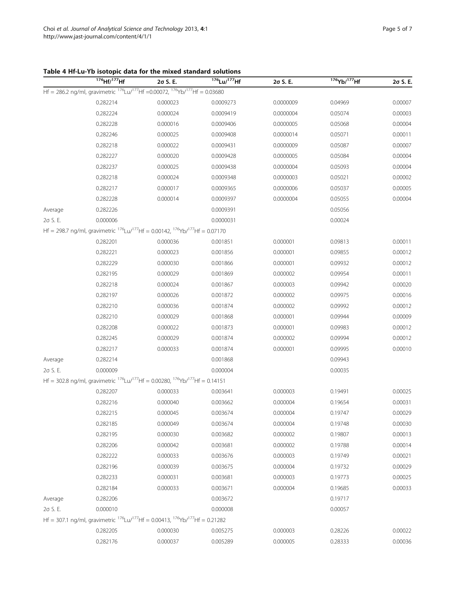<span id="page-4-0"></span>Table 4 Hf-Lu-Yb isotopic data for the mixed standard solutions

|         | <sup>176</sup> Hf/ <sup>177</sup> Hf                                                                 | 2σ S. E. | <sup>176</sup> Lu/ <sup>177</sup> Hf | 20 S.E.   | 176Yb/177Hf | 20 S.E. |
|---------|------------------------------------------------------------------------------------------------------|----------|--------------------------------------|-----------|-------------|---------|
|         | Hf = 286.2 ng/ml, gravimetric 176Lu/177Hf = 0.00072, 176Yb/177Hf = 0.03680                           |          |                                      |           |             |         |
|         | 0.282214                                                                                             | 0.000023 | 0.0009273                            | 0.0000009 | 0.04969     | 0.00007 |
|         | 0.282224                                                                                             | 0.000024 | 0.0009419                            | 0.0000004 | 0.05074     | 0.00003 |
|         | 0.282228                                                                                             | 0.000016 | 0.0009406                            | 0.0000005 | 0.05068     | 0.00004 |
|         | 0.282246                                                                                             | 0.000025 | 0.0009408                            | 0.0000014 | 0.05071     | 0.00011 |
|         | 0.282218                                                                                             | 0.000022 | 0.0009431                            | 0.0000009 | 0.05087     | 0.00007 |
|         | 0.282227                                                                                             | 0.000020 | 0.0009428                            | 0.0000005 | 0.05084     | 0.00004 |
|         | 0.282237                                                                                             | 0.000025 | 0.0009438                            | 0.0000004 | 0.05093     | 0.00004 |
|         | 0.282218                                                                                             | 0.000024 | 0.0009348                            | 0.0000003 | 0.05021     | 0.00002 |
|         | 0.282217                                                                                             | 0.000017 | 0.0009365                            | 0.0000006 | 0.05037     | 0.00005 |
|         | 0.282228                                                                                             | 0.000014 | 0.0009397                            | 0.0000004 | 0.05055     | 0.00004 |
| Average | 0.282226                                                                                             |          | 0.0009391                            |           | 0.05056     |         |
| 20 S.E. | 0.000006                                                                                             |          | 0.0000031                            |           | 0.00024     |         |
|         | Hf = 298.7 ng/ml, gravimetric $^{176}$ Lu/ $^{177}$ Hf = 0.00142, $^{176}$ Yb/ $^{177}$ Hf = 0.07170 |          |                                      |           |             |         |
|         | 0.282201                                                                                             | 0.000036 | 0.001851                             | 0.000001  | 0.09813     | 0.00011 |
|         | 0.282221                                                                                             | 0.000023 | 0.001856                             | 0.000001  | 0.09855     | 0.00012 |
|         | 0.282229                                                                                             | 0.000030 | 0.001866                             | 0.000001  | 0.09932     | 0.00012 |
|         | 0.282195                                                                                             | 0.000029 | 0.001869                             | 0.000002  | 0.09954     | 0.00011 |
|         | 0.282218                                                                                             | 0.000024 | 0.001867                             | 0.000003  | 0.09942     | 0.00020 |
|         | 0.282197                                                                                             | 0.000026 | 0.001872                             | 0.000002  | 0.09975     | 0.00016 |
|         | 0.282210                                                                                             | 0.000036 | 0.001874                             | 0.000002  | 0.09992     | 0.00012 |
|         | 0.282210                                                                                             | 0.000029 | 0.001868                             | 0.000001  | 0.09944     | 0.00009 |
|         | 0.282208                                                                                             | 0.000022 | 0.001873                             | 0.000001  | 0.09983     | 0.00012 |
|         | 0.282245                                                                                             | 0.000029 | 0.001874                             | 0.000002  | 0.09994     | 0.00012 |
|         | 0.282217                                                                                             | 0.000033 | 0.001874                             | 0.000001  | 0.09995     | 0.00010 |
| Average | 0.282214                                                                                             |          | 0.001868                             |           | 0.09943     |         |
| 20 S.E. | 0.000009                                                                                             |          | 0.000004                             |           | 0.00035     |         |
|         | Hf = 302.8 ng/ml, gravimetric $^{176}$ Lu/ $^{177}$ Hf = 0.00280, $^{176}$ Yb/ $^{177}$ Hf = 0.14151 |          |                                      |           |             |         |
|         | 0.282207                                                                                             | 0.000033 | 0.003641                             | 0.000003  | 0.19491     | 0.00025 |
|         | 0.282216                                                                                             | 0.000040 | 0.003662                             | 0.000004  | 0.19654     | 0.00031 |
|         | 0.282215                                                                                             | 0.000045 | 0.003674                             | 0.000004  | 0.19747     | 0.00029 |
|         | 0.282185                                                                                             | 0.000049 | 0.003674                             | 0.000004  | 0.19748     | 0.00030 |
|         | 0.282195                                                                                             | 0.000030 | 0.003682                             | 0.000002  | 0.19807     | 0.00013 |
|         | 0.282206                                                                                             | 0.000042 | 0.003681                             | 0.000002  | 0.19788     | 0.00014 |
|         | 0.282222                                                                                             | 0.000033 | 0.003676                             | 0.000003  | 0.19749     | 0.00021 |
|         | 0.282196                                                                                             | 0.000039 | 0.003675                             | 0.000004  | 0.19732     | 0.00029 |
|         | 0.282233                                                                                             | 0.000031 | 0.003681                             | 0.000003  | 0.19773     | 0.00025 |
|         | 0.282184                                                                                             | 0.000033 | 0.003671                             | 0.000004  | 0.19685     | 0.00033 |
| Average | 0.282206                                                                                             |          | 0.003672                             |           | 0.19717     |         |
| 20 S.E. | 0.000010                                                                                             |          | 0.000008                             |           | 0.00057     |         |
|         | Hf = 307.1 ng/ml, gravimetric $^{176}$ Lu/ $^{177}$ Hf = 0.00413, $^{176}$ Yb/ $^{177}$ Hf = 0.21282 |          |                                      |           |             |         |
|         | 0.282205                                                                                             | 0.000030 | 0.005275                             | 0.000003  | 0.28226     | 0.00022 |
|         | 0.282176                                                                                             | 0.000037 | 0.005289                             | 0.000005  | 0.28333     | 0.00036 |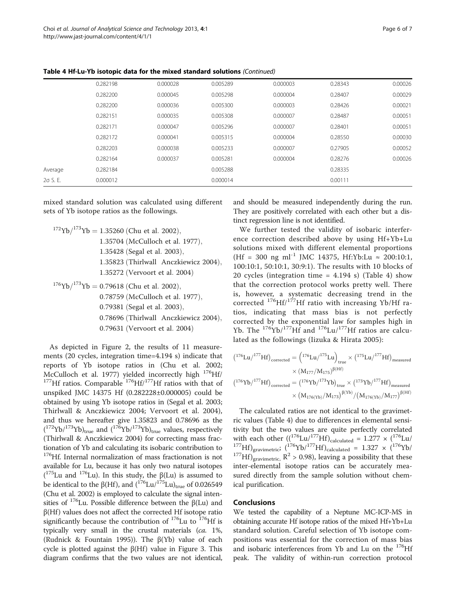| <b>Table 4 Hf-Lu-Yb isotopic data for the mixed standard solutions</b> (Continued) |  |  |
|------------------------------------------------------------------------------------|--|--|
|------------------------------------------------------------------------------------|--|--|

| 20 S.E. | 0.000012 |          | 0.000014 |          | 0.00111 |         |
|---------|----------|----------|----------|----------|---------|---------|
| Average | 0.282184 |          | 0.005288 |          | 0.28335 |         |
|         | 0.282164 | 0.000037 | 0.005281 | 0.000004 | 0.28276 | 0.00026 |
|         | 0.282203 | 0.000038 | 0.005233 | 0.000007 | 0.27905 | 0.00052 |
|         | 0.282172 | 0.000041 | 0.005315 | 0.000004 | 0.28550 | 0.00030 |
|         | 0.282171 | 0.000047 | 0.005296 | 0.000007 | 0.28401 | 0.00051 |
|         | 0.282151 | 0.000035 | 0.005308 | 0.000007 | 0.28487 | 0.00051 |
|         | 0.282200 | 0.000036 | 0.005300 | 0.000003 | 0.28426 | 0.00021 |
|         | 0.282200 | 0.000045 | 0.005298 | 0.000004 | 0.28407 | 0.00029 |
|         | 0.282198 | 0.000028 | 0.005289 | 0.000003 | 0.28343 | 0.00026 |
|         |          |          |          |          |         |         |

mixed standard solution was calculated using different sets of Yb isotope ratios as the followings.

$$
^{172}\mathrm{Yb}/^{173}\mathrm{Yb} = 1.35260 \text{ (Chu et al. 2002),}
$$

1.35704 (McCulloch et al. 1977),

1.35428 (Segal et al. 2003),

- 1.35823 (Thirlwall Anczkiewicz 2004),
- 1.35272 (Vervoort et al. 2004)
- $176{\rm Yb}/^{173}{\rm Yb} = 0.79618$  (Chu et al. 2002), 0.78759 (McCulloch et al. 1977), 0.79381 (Segal et al. 2003), 0.78696 (Thirlwall Anczkiewicz 2004), 0.79631 (Vervoort et al. 2004)

As depicted in Figure [2](#page-3-0), the results of 11 measurements (20 cycles, integration time=4.194 s) indicate that reports of Yb isotope ratios in (Chu et al. [2002](#page-6-0); McCulloch et al. [1977\)](#page-6-0) yielded incorrectly high  $^{176}$ Hf/ $^{177}$ Hf ratios. Comparable  $^{176}$ Hf/ $^{177}$ Hf ratios with that of unspiked JMC 14375 Hf (0.282228±0.000005) could be obtained by using Yb isotope ratios in (Segal et al. [2003](#page-6-0); Thirlwall & Anczkiewicz [2004;](#page-6-0) Vervoort et al. [2004](#page-6-0)), and thus we hereafter give 1.35823 and 0.78696 as the  $({}^{172}\text{Yb}/{}^{173}\text{Yb})_{\text{true}}$  and  $({}^{176}\text{Yb}/{}^{173}\text{Yb})_{\text{true}}$  values, respectively (Thirlwall & Anczkiewicz [2004\)](#page-6-0) for correcting mass fractionation of Yb and calculating its isobaric contribution to <sup>176</sup>Hf. Internal normalization of mass fractionation is not available for Lu, because it has only two natural isotopes ( $^{175}$ Lu and  $^{176}$ Lu). In this study, the  $\beta$ (Lu) is assumed to be identical to the β(Hf), and  $(176 \text{Lu}/175 \text{Lu})_{true}$  of 0.026549 (Chu et al. [2002\)](#page-6-0) is employed to calculate the signal intensities of  $176$ Lu. Possible difference between the β(Lu) and  $\beta$ (Hf) values does not affect the corrected Hf isotope ratio significantly because the contribution of  $^{176}$ Lu to  $^{176}$ Hf is typically very small in the crustal materials (ca. 1%, (Rudnick & Fountain [1995\)](#page-6-0)). The  $\beta(Yb)$  value of each cycle is plotted against the  $β(Hf)$  value in Figure [3.](#page-3-0) This diagram confirms that the two values are not identical, and should be measured independently during the run. They are positively correlated with each other but a distinct regression line is not identified.

We further tested the validity of isobaric interference correction described above by using Hf+Yb+Lu solutions mixed with different elemental proportions (Hf = 300 ng ml<sup>-1</sup> JMC 14375, Hf:Yb:Lu  $\approx$  200:10:1, 100:10:1, 50:10:1, 30:9:1). The results with 10 blocks of 20 cycles (integration time =  $4.194$  s) (Table [4](#page-4-0)) show that the correction protocol works pretty well. There is, however, a systematic decreasing trend in the corrected  $^{176}$ Hf/<sup>177</sup>Hf ratio with increasing Yb/Hf ratios, indicating that mass bias is not perfectly corrected by the exponential law for samples high in Yb. The 176Yb/177Hf and 176Lu/177Hf ratios are calculated as the followings (Iizuka & Hirata [2005](#page-6-0)):

$$
(176 Lu)^{177} Hf)_{\text{corrected}} = (176 Lu)^{175} Lu)_{\text{true}} \times (175 Lu)^{177} Hf)_{\text{measured}} \times (M_{177}/M_{175})^{\beta(Hf)} (176 Yb)^{177} Hf)_{\text{corrected}} = (176 Yb)^{173} Yb)_{\text{true}} \times (173 Yb)^{177} Hf)_{\text{measured}} \times (M_{176(Yb)}/M_{173})^{\beta(Yb)}/ (M_{176(Yb)}/M_{177})^{\beta(Hf)}
$$

The calculated ratios are not identical to the gravimetric values (Table [4\)](#page-4-0) due to differences in elemental sensitivity but the two values are quite perfectly correlated with each other  $((1^{76}Lu)^{177}Hf)_{\text{calculated}} = 1.277 \times (1^{76}Lu)$ <sup>177</sup>Hf)<sub>gravimetric</sub>; ( $\frac{176}{17}$ Hf)<sup>177</sup>Hf)<sub>calculated</sub> = 1.327 × ( $\frac{176}{17}$ H)<sub>gravimetric</sub>, R<sup>2</sup> > 0.98), leaving a possibility that these inter-elemental isotope ratios can be accurately measured directly from the sample solution without chemical purification.

## **Conclusions**

We tested the capability of a Neptune MC-ICP-MS in obtaining accurate Hf isotope ratios of the mixed Hf+Yb+Lu standard solution. Careful selection of Yb isotope compositions was essential for the correction of mass bias and isobaric interferences from Yb and Lu on the <sup>176</sup>Hf peak. The validity of within-run correction protocol